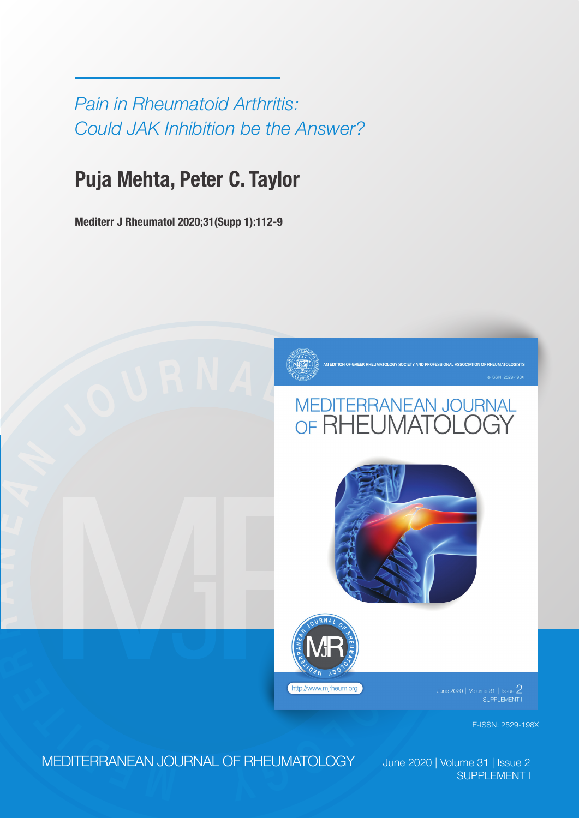*Pain in Rheumatoid Arthritis: Could JAK Inhibition be the Answer?*

## **Puja Mehta, Peter C. Taylor**

**Mediterr J Rheumatol 2020;31(Supp 1):112-9**



# A **UPPERFANEAN**<br>
SUPPORT REPORT OF RELANAL<br>
SUPPORT COLOGY





 $\frac{1}{2}$ lune 2020 | Volume 31 | Issue  $\frac{2}{1}$ 

E-ISSN: 2529-198X

**<sup>E</sup> <sup>M</sup> <sup>D</sup> <sup>I</sup> <sup>T</sup> <sup>E</sup> <sup>R</sup>** MEDITERRANEAN JOURNAL OF RHEUMATOLOGY June 2020 | Volume 31 | Issue 2

**R**

**A**

**N**

**E**

**A N**

SUPPLEMENT I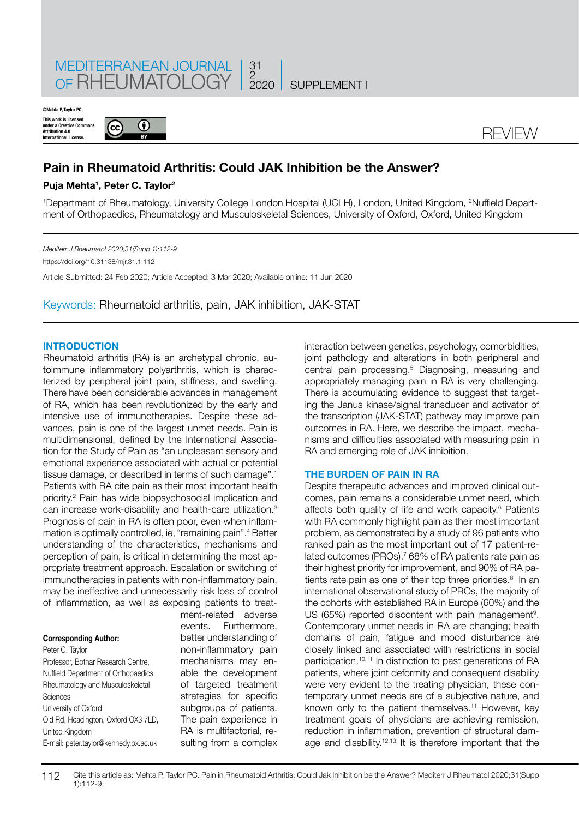

**This work is licens under a Creative Commons Attribution 4.0 International License. ©Mehta P, Taylor PC.**





### **Pain in Rheumatoid Arthritis: Could JAK Inhibition be the Answer?**

#### **Puja Mehta1 , Peter C. Taylor2**

1 Department of Rheumatology, University College London Hospital (UCLH), London, United Kingdom, 2 Nuffield Department of Orthopaedics, Rheumatology and Musculoskeletal Sciences, University of Oxford, Oxford, United Kingdom

*Mediterr J Rheumatol 2020;31(Supp 1):112-9* https://doi.org/10.31138/mjr.31.1.112 Article Submitted: 24 Feb 2020; Article Accepted: 3 Mar 2020; Available online: 11 Jun 2020

Keywords: Rheumatoid arthritis, pain, JAK inhibition, JAK-STAT

#### **INTRODUCTION**

Rheumatoid arthritis (RA) is an archetypal chronic, autoimmune inflammatory polyarthritis, which is characterized by peripheral joint pain, stiffness, and swelling. There have been considerable advances in management of RA, which has been revolutionized by the early and intensive use of immunotherapies. Despite these advances, pain is one of the largest unmet needs. Pain is multidimensional, defined by the International Association for the Study of Pain as "an unpleasant sensory and emotional experience associated with actual or potential tissue damage, or described in terms of such damage".<sup>1</sup> Patients with RA cite pain as their most important health priority.2 Pain has wide biopsychosocial implication and can increase work-disability and health-care utilization.3 Prognosis of pain in RA is often poor, even when inflammation is optimally controlled, ie, "remaining pain".4 Better understanding of the characteristics, mechanisms and perception of pain, is critical in determining the most appropriate treatment approach. Escalation or switching of immunotherapies in patients with non-inflammatory pain, may be ineffective and unnecessarily risk loss of control of inflammation, as well as exposing patients to treat-

#### **Corresponding Author:**

Peter C. Taylor Professor, Botnar Research Centre, Nuffield Department of Orthopaedics Rheumatology and Musculoskeletal Sciences University of Oxford Old Rd, Headington, Oxford OX3 7LD, United Kingdom E-mail: peter.taylor@kennedy.ox.ac.uk

ment-related adverse events. Furthermore, better understanding of non-inflammatory pain mechanisms may enable the development of targeted treatment strategies for specific subgroups of patients. The pain experience in RA is multifactorial, resulting from a complex

interaction between genetics, psychology, comorbidities, joint pathology and alterations in both peripheral and central pain processing.5 Diagnosing, measuring and appropriately managing pain in RA is very challenging. There is accumulating evidence to suggest that targeting the Janus kinase/signal transducer and activator of the transcription (JAK-STAT) pathway may improve pain outcomes in RA. Here, we describe the impact, mechanisms and difficulties associated with measuring pain in RA and emerging role of JAK inhibition.

#### **THE BURDEN OF PAIN IN RA**

Despite therapeutic advances and improved clinical outcomes, pain remains a considerable unmet need, which affects both quality of life and work capacity.<sup>6</sup> Patients with RA commonly highlight pain as their most important problem, as demonstrated by a study of 96 patients who ranked pain as the most important out of 17 patient-related outcomes (PROs).<sup>7</sup> 68% of RA patients rate pain as their highest priority for improvement, and 90% of RA patients rate pain as one of their top three priorities.<sup>8</sup> In an international observational study of PROs, the majority of the cohorts with established RA in Europe (60%) and the  $US$  (65%) reported discontent with pain management<sup>9</sup>. Contemporary unmet needs in RA are changing; health domains of pain, fatigue and mood disturbance are closely linked and associated with restrictions in social participation.10,11 In distinction to past generations of RA patients, where joint deformity and consequent disability were very evident to the treating physician, these contemporary unmet needs are of a subjective nature, and known only to the patient themselves.<sup>11</sup> However, key treatment goals of physicians are achieving remission, reduction in inflammation, prevention of structural damage and disability.12,13 It is therefore important that the

112 Cite this article as: Mehta P, Taylor PC. Pain in Rheumatoid Arthritis: Could Jak Inhibition be the Answer? Mediterr J Rheumatol 2020;31(Supp 1):112-9.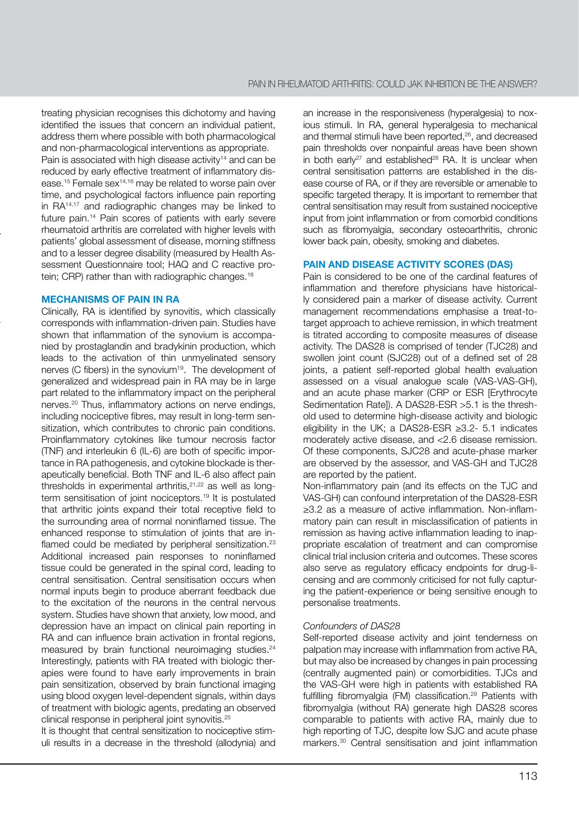treating physician recognises this dichotomy and having identified the issues that concern an individual patient, address them where possible with both pharmacological and non-pharmacological interventions as appropriate. Pain is associated with high disease activity<sup>14</sup> and can be reduced by early effective treatment of inflammatory disease.15 Female sex14,16 may be related to worse pain over time, and psychological factors influence pain reporting in RA14,17 and radiographic changes may be linked to future pain.<sup>14</sup> Pain scores of patients with early severe rheumatoid arthritis are correlated with higher levels with patients' global assessment of disease, morning stiffness and to a lesser degree disability (measured by Health Assessment Questionnaire tool; HAQ and C reactive protein; CRP) rather than with radiographic changes.<sup>18</sup>

#### **MECHANISMS OF PAIN IN RA**

Clinically, RA is identified by synovitis, which classically corresponds with inflammation-driven pain. Studies have shown that inflammation of the synovium is accompanied by prostaglandin and bradykinin production, which leads to the activation of thin unmyelinated sensory nerves (C fibers) in the synovium<sup>19</sup>. The development of generalized and widespread pain in RA may be in large part related to the inflammatory impact on the peripheral nerves.20 Thus, inflammatory actions on nerve endings, including nociceptive fibres, may result in long-term sensitization, which contributes to chronic pain conditions. Proinflammatory cytokines like tumour necrosis factor (TNF) and interleukin 6 (IL-6) are both of specific importance in RA pathogenesis, and cytokine blockade is therapeutically beneficial. Both TNF and IL-6 also affect pain thresholds in experimental arthritis.<sup>21,22</sup> as well as longterm sensitisation of joint nociceptors.19 It is postulated that arthritic joints expand their total receptive field to the surrounding area of normal noninflamed tissue. The enhanced response to stimulation of joints that are inflamed could be mediated by peripheral sensitization.<sup>23</sup> Additional increased pain responses to noninflamed tissue could be generated in the spinal cord, leading to central sensitisation. Central sensitisation occurs when normal inputs begin to produce aberrant feedback due to the excitation of the neurons in the central nervous system. Studies have shown that anxiety, low mood, and depression have an impact on clinical pain reporting in RA and can influence brain activation in frontal regions, measured by brain functional neuroimaging studies.<sup>24</sup> Interestingly, patients with RA treated with biologic therapies were found to have early improvements in brain pain sensitization, observed by brain functional imaging using blood oxygen level-dependent signals, within days of treatment with biologic agents, predating an observed clinical response in peripheral joint synovitis.25

It is thought that central sensitization to nociceptive stimuli results in a decrease in the threshold (allodynia) and an increase in the responsiveness (hyperalgesia) to noxious stimuli. In RA, general hyperalgesia to mechanical and thermal stimuli have been reported,<sup>26</sup>, and decreased pain thresholds over nonpainful areas have been shown in both early<sup>27</sup> and established<sup>28</sup> RA. It is unclear when central sensitisation patterns are established in the disease course of RA, or if they are reversible or amenable to specific targeted therapy. It is important to remember that central sensitisation may result from sustained nociceptive input from joint inflammation or from comorbid conditions such as fibromyalgia, secondary osteoarthritis, chronic lower back pain, obesity, smoking and diabetes.

#### **PAIN AND DISEASE ACTIVITY SCORES (DAS)**

Pain is considered to be one of the cardinal features of inflammation and therefore physicians have historically considered pain a marker of disease activity. Current management recommendations emphasise a treat-totarget approach to achieve remission, in which treatment is titrated according to composite measures of disease activity. The DAS28 is comprised of tender (TJC28) and swollen joint count (SJC28) out of a defined set of 28 joints, a patient self-reported global health evaluation assessed on a visual analogue scale (VAS-VAS-GH), and an acute phase marker (CRP or ESR [Erythrocyte Sedimentation Rate]). A DAS28-ESR >5.1 is the threshold used to determine high-disease activity and biologic eligibility in the UK; a DAS28-ESR ≥3.2- 5.1 indicates moderately active disease, and <2.6 disease remission. Of these components, SJC28 and acute-phase marker are observed by the assessor, and VAS-GH and TJC28 are reported by the patient.

Non-inflammatory pain (and its effects on the TJC and VAS-GH) can confound interpretation of the DAS28-ESR ≥3.2 as a measure of active inflammation. Non-inflammatory pain can result in misclassification of patients in remission as having active inflammation leading to inappropriate escalation of treatment and can compromise clinical trial inclusion criteria and outcomes. These scores also serve as regulatory efficacy endpoints for drug-licensing and are commonly criticised for not fully capturing the patient-experience or being sensitive enough to personalise treatments.

#### *Confounders of DAS28*

Self-reported disease activity and joint tenderness on palpation may increase with inflammation from active RA, but may also be increased by changes in pain processing (centrally augmented pain) or comorbidities. TJCs and the VAS-GH were high in patients with established RA fulfilling fibromyalgia (FM) classification.29 Patients with fibromyalgia (without RA) generate high DAS28 scores comparable to patients with active RA, mainly due to high reporting of TJC, despite low SJC and acute phase markers.30 Central sensitisation and joint inflammation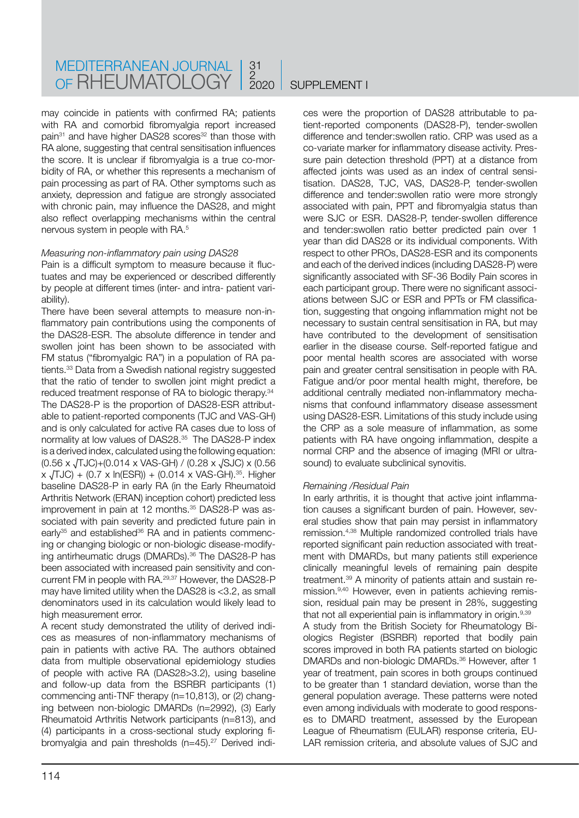may coincide in patients with confirmed RA; patients with RA and comorbid fibromyalgia report increased pain<sup>31</sup> and have higher DAS28 scores<sup>32</sup> than those with RA alone, suggesting that central sensitisation influences the score. It is unclear if fibromyalgia is a true co-morbidity of RA, or whether this represents a mechanism of pain processing as part of RA. Other symptoms such as anxiety, depression and fatigue are strongly associated with chronic pain, may influence the DAS28, and might also reflect overlapping mechanisms within the central nervous system in people with RA.5

#### *Measuring non-inflammatory pain using DAS28*

Pain is a difficult symptom to measure because it fluctuates and may be experienced or described differently by people at different times (inter- and intra- patient variability).

There have been several attempts to measure non-inflammatory pain contributions using the components of the DAS28-ESR. The absolute difference in tender and swollen joint has been shown to be associated with FM status ("fibromyalgic RA") in a population of RA patients.33 Data from a Swedish national registry suggested that the ratio of tender to swollen joint might predict a reduced treatment response of RA to biologic therapy.34 The DAS28-P is the proportion of DAS28-ESR attributable to patient-reported components (TJC and VAS-GH) and is only calculated for active RA cases due to loss of normality at low values of DAS28.35 The DAS28-P index is a derived index, calculated using the following equation: (0.56 x √TJC)+(0.014 x VAS-GH) / (0.28 x √SJC) x (0.56  $x \sqrt{J}$ JC) + (0.7 x ln(ESR)) + (0.014 x VAS-GH).<sup>35</sup>. Higher baseline DAS28-P in early RA (in the Early Rheumatoid Arthritis Network (ERAN) inception cohort) predicted less improvement in pain at 12 months.<sup>35</sup> DAS28-P was associated with pain severity and predicted future pain in early<sup>35</sup> and established<sup>36</sup> RA and in patients commencing or changing biologic or non-biologic disease-modifying antirheumatic drugs (DMARDs).<sup>36</sup> The DAS28-P has been associated with increased pain sensitivity and concurrent FM in people with RA.29,37 However, the DAS28-P may have limited utility when the DAS28 is <3.2, as small denominators used in its calculation would likely lead to high measurement error.

A recent study demonstrated the utility of derived indices as measures of non-inflammatory mechanisms of pain in patients with active RA. The authors obtained data from multiple observational epidemiology studies of people with active RA (DAS28>3.2), using baseline and follow-up data from the BSRBR participants (1) commencing anti-TNF therapy (n=10,813), or (2) changing between non-biologic DMARDs (n=2992), (3) Early Rheumatoid Arthritis Network participants (n=813), and (4) participants in a cross-sectional study exploring fibromyalgia and pain thresholds (n=45).<sup>27</sup> Derived indices were the proportion of DAS28 attributable to patient-reported components (DAS28-P), tender-swollen difference and tender:swollen ratio. CRP was used as a co-variate marker for inflammatory disease activity. Pressure pain detection threshold (PPT) at a distance from affected joints was used as an index of central sensitisation. DAS28, TJC, VAS, DAS28-P, tender-swollen difference and tender:swollen ratio were more strongly associated with pain, PPT and fibromyalgia status than were SJC or ESR. DAS28-P, tender-swollen difference and tender:swollen ratio better predicted pain over 1 year than did DAS28 or its individual components. With respect to other PROs, DAS28-ESR and its components and each of the derived indices (including DAS28-P) were significantly associated with SF-36 Bodily Pain scores in each participant group. There were no significant associations between SJC or ESR and PPTs or FM classification, suggesting that ongoing inflammation might not be necessary to sustain central sensitisation in RA, but may have contributed to the development of sensitisation earlier in the disease course. Self-reported fatigue and poor mental health scores are associated with worse pain and greater central sensitisation in people with RA. Fatigue and/or poor mental health might, therefore, be additional centrally mediated non-inflammatory mechanisms that confound inflammatory disease assessment using DAS28-ESR. Limitations of this study include using the CRP as a sole measure of inflammation, as some patients with RA have ongoing inflammation, despite a normal CRP and the absence of imaging (MRI or ultrasound) to evaluate subclinical synovitis.

#### *Remaining /Residual Pain*

In early arthritis, it is thought that active joint inflammation causes a significant burden of pain. However, several studies show that pain may persist in inflammatory remission.4,38 Multiple randomized controlled trials have reported significant pain reduction associated with treatment with DMARDs, but many patients still experience clinically meaningful levels of remaining pain despite treatment.39 A minority of patients attain and sustain remission.9,40 However, even in patients achieving remission, residual pain may be present in 28%, suggesting that not all experiential pain is inflammatory in origin.<sup>9,39</sup> A study from the British Society for Rheumatology Biologics Register (BSRBR) reported that bodily pain scores improved in both RA patients started on biologic DMARDs and non-biologic DMARDs.36 However, after 1 year of treatment, pain scores in both groups continued to be greater than 1 standard deviation, worse than the general population average. These patterns were noted even among individuals with moderate to good responses to DMARD treatment, assessed by the European League of Rheumatism (EULAR) response criteria, EU-LAR remission criteria, and absolute values of SJC and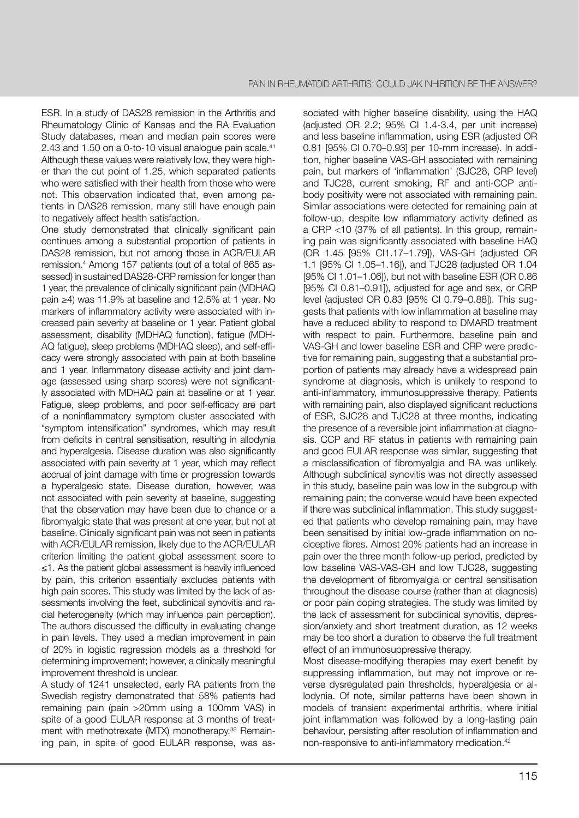ESR. In a study of DAS28 remission in the Arthritis and Rheumatology Clinic of Kansas and the RA Evaluation Study databases, mean and median pain scores were 2.43 and 1.50 on a 0-to-10 visual analogue pain scale.<sup>41</sup> Although these values were relatively low, they were higher than the cut point of 1.25, which separated patients who were satisfied with their health from those who were not. This observation indicated that, even among patients in DAS28 remission, many still have enough pain to negatively affect health satisfaction.

One study demonstrated that clinically significant pain continues among a substantial proportion of patients in DAS28 remission, but not among those in ACR/EULAR remission.4 Among 157 patients (out of a total of 865 assessed) in sustained DAS28-CRP remission for longer than 1 year, the prevalence of clinically significant pain (MDHAQ pain ≥4) was 11.9% at baseline and 12.5% at 1 year. No markers of inflammatory activity were associated with increased pain severity at baseline or 1 year. Patient global assessment, disability (MDHAQ function), fatigue (MDH-AQ fatigue), sleep problems (MDHAQ sleep), and self-efficacy were strongly associated with pain at both baseline and 1 year. Inflammatory disease activity and joint damage (assessed using sharp scores) were not significantly associated with MDHAQ pain at baseline or at 1 year. Fatigue, sleep problems, and poor self-efficacy are part of a noninflammatory symptom cluster associated with "symptom intensification" syndromes, which may result from deficits in central sensitisation, resulting in allodynia and hyperalgesia. Disease duration was also significantly associated with pain severity at 1 year, which may reflect accrual of joint damage with time or progression towards a hyperalgesic state. Disease duration, however, was not associated with pain severity at baseline, suggesting that the observation may have been due to chance or a fibromyalgic state that was present at one year, but not at baseline. Clinically significant pain was not seen in patients with ACR/EULAR remission, likely due to the ACR/EULAR criterion limiting the patient global assessment score to ≤1. As the patient global assessment is heavily influenced by pain, this criterion essentially excludes patients with high pain scores. This study was limited by the lack of assessments involving the feet, subclinical synovitis and racial heterogeneity (which may influence pain perception). The authors discussed the difficulty in evaluating change in pain levels. They used a median improvement in pain of 20% in logistic regression models as a threshold for determining improvement; however, a clinically meaningful improvement threshold is unclear.

A study of 1241 unselected, early RA patients from the Swedish registry demonstrated that 58% patients had remaining pain (pain >20mm using a 100mm VAS) in spite of a good EULAR response at 3 months of treatment with methotrexate (MTX) monotherapy.<sup>39</sup> Remaining pain, in spite of good EULAR response, was associated with higher baseline disability, using the HAQ (adjusted OR 2.2; 95% CI 1.4-3.4, per unit increase) and less baseline inflammation, using ESR (adjusted OR 0.81 [95% CI 0.70–0.93] per 10-mm increase). In addition, higher baseline VAS-GH associated with remaining pain, but markers of 'inflammation' (SJC28, CRP level) and TJC28, current smoking, RF and anti-CCP antibody positivity were not associated with remaining pain. Similar associations were detected for remaining pain at follow-up, despite low inflammatory activity defined as a CRP <10 (37% of all patients). In this group, remaining pain was significantly associated with baseline HAQ (OR 1.45 [95% CI1.17–1.79]), VAS-GH (adjusted OR 1.1 [95% CI 1.05–1.16]), and TJC28 (adjusted OR 1.04 [95% CI 1.01–1.06]), but not with baseline ESR (OR 0.86 [95% CI 0.81–0.91]), adjusted for age and sex, or CRP level (adjusted OR 0.83 [95% CI 0.79–0.88]). This suggests that patients with low inflammation at baseline may have a reduced ability to respond to DMARD treatment with respect to pain. Furthermore, baseline pain and VAS-GH and lower baseline ESR and CRP were predictive for remaining pain, suggesting that a substantial proportion of patients may already have a widespread pain syndrome at diagnosis, which is unlikely to respond to anti-inflammatory, immunosuppressive therapy. Patients with remaining pain, also displayed significant reductions of ESR, SJC28 and TJC28 at three months, indicating the presence of a reversible joint inflammation at diagnosis. CCP and RF status in patients with remaining pain and good EULAR response was similar, suggesting that a misclassification of fibromyalgia and RA was unlikely. Although subclinical synovitis was not directly assessed in this study, baseline pain was low in the subgroup with remaining pain; the converse would have been expected if there was subclinical inflammation. This study suggested that patients who develop remaining pain, may have been sensitised by initial low-grade inflammation on nociceptive fibres. Almost 20% patients had an increase in pain over the three month follow-up period, predicted by low baseline VAS-VAS-GH and low TJC28, suggesting the development of fibromyalgia or central sensitisation throughout the disease course (rather than at diagnosis) or poor pain coping strategies. The study was limited by the lack of assessment for subclinical synovitis, depression/anxiety and short treatment duration, as 12 weeks may be too short a duration to observe the full treatment effect of an immunosuppressive therapy.

Most disease-modifying therapies may exert benefit by suppressing inflammation, but may not improve or reverse dysregulated pain thresholds, hyperalgesia or allodynia. Of note, similar patterns have been shown in models of transient experimental arthritis, where initial joint inflammation was followed by a long-lasting pain behaviour, persisting after resolution of inflammation and non-responsive to anti-inflammatory medication.42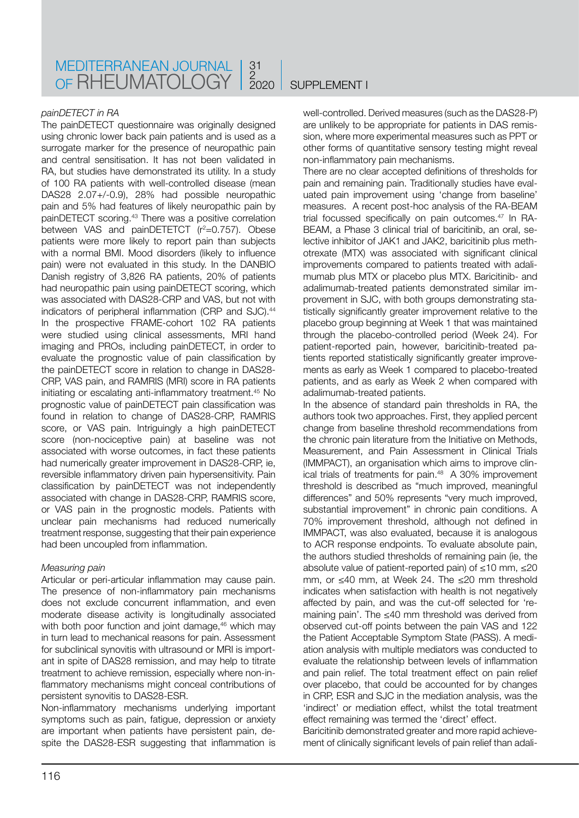#### *painDETECT in RA*

The painDETECT questionnaire was originally designed using chronic lower back pain patients and is used as a surrogate marker for the presence of neuropathic pain and central sensitisation. It has not been validated in RA, but studies have demonstrated its utility. In a study of 100 RA patients with well-controlled disease (mean DAS28 2.07+/-0.9), 28% had possible neuropathic pain and 5% had features of likely neuropathic pain by painDETECT scoring.43 There was a positive correlation between VAS and painDETETCT (r<sup>2</sup>=0.757). Obese patients were more likely to report pain than subjects with a normal BMI. Mood disorders (likely to influence pain) were not evaluated in this study. In the DANBIO Danish registry of 3,826 RA patients, 20% of patients had neuropathic pain using painDETECT scoring, which was associated with DAS28-CRP and VAS, but not with indicators of peripheral inflammation (CRP and SJC).<sup>44</sup> In the prospective FRAME-cohort 102 RA patients were studied using clinical assessments, MRI hand imaging and PROs, including painDETECT, in order to evaluate the prognostic value of pain classification by the painDETECT score in relation to change in DAS28- CRP, VAS pain, and RAMRIS (MRI) score in RA patients initiating or escalating anti-inflammatory treatment.45 No prognostic value of painDETECT pain classification was found in relation to change of DAS28-CRP, RAMRIS score, or VAS pain. Intriguingly a high painDETECT score (non-nociceptive pain) at baseline was not associated with worse outcomes, in fact these patients had numerically greater improvement in DAS28-CRP, ie, reversible inflammatory driven pain hypersensitivity. Pain classification by painDETECT was not independently associated with change in DAS28-CRP, RAMRIS score, or VAS pain in the prognostic models. Patients with unclear pain mechanisms had reduced numerically treatment response, suggesting that their pain experience had been uncoupled from inflammation.

#### *Measuring pain*

Articular or peri-articular inflammation may cause pain. The presence of non-inflammatory pain mechanisms does not exclude concurrent inflammation, and even moderate disease activity is longitudinally associated with both poor function and joint damage,<sup>46</sup> which may in turn lead to mechanical reasons for pain. Assessment for subclinical synovitis with ultrasound or MRI is important in spite of DAS28 remission, and may help to titrate treatment to achieve remission, especially where non-inflammatory mechanisms might conceal contributions of persistent synovitis to DAS28-ESR.

Non-inflammatory mechanisms underlying important symptoms such as pain, fatigue, depression or anxiety are important when patients have persistent pain, despite the DAS28-ESR suggesting that inflammation is well-controlled. Derived measures (such as the DAS28-P) are unlikely to be appropriate for patients in DAS remission, where more experimental measures such as PPT or other forms of quantitative sensory testing might reveal non-inflammatory pain mechanisms.

There are no clear accepted definitions of thresholds for pain and remaining pain. Traditionally studies have evaluated pain improvement using 'change from baseline' measures. A recent post-hoc analysis of the RA-BEAM trial focussed specifically on pain outcomes.<sup>47</sup> In RA-BEAM, a Phase 3 clinical trial of baricitinib, an oral, selective inhibitor of JAK1 and JAK2, baricitinib plus methotrexate (MTX) was associated with significant clinical improvements compared to patients treated with adalimumab plus MTX or placebo plus MTX. Baricitinib- and adalimumab-treated patients demonstrated similar improvement in SJC, with both groups demonstrating statistically significantly greater improvement relative to the placebo group beginning at Week 1 that was maintained through the placebo-controlled period (Week 24). For patient-reported pain, however, baricitinib-treated patients reported statistically significantly greater improvements as early as Week 1 compared to placebo-treated patients, and as early as Week 2 when compared with adalimumab-treated patients.

In the absence of standard pain thresholds in RA, the authors took two approaches. First, they applied percent change from baseline threshold recommendations from the chronic pain literature from the Initiative on Methods, Measurement, and Pain Assessment in Clinical Trials (IMMPACT), an organisation which aims to improve clinical trials of treatments for pain.48 A 30% improvement threshold is described as "much improved, meaningful differences" and 50% represents "very much improved, substantial improvement" in chronic pain conditions. A 70% improvement threshold, although not defined in IMMPACT, was also evaluated, because it is analogous to ACR response endpoints. To evaluate absolute pain, the authors studied thresholds of remaining pain (ie, the absolute value of patient-reported pain) of ≤10 mm, ≤20 mm, or ≤40 mm, at Week 24. The ≤20 mm threshold indicates when satisfaction with health is not negatively affected by pain, and was the cut-off selected for 'remaining pain'. The ≤40 mm threshold was derived from observed cut-off points between the pain VAS and 122 the Patient Acceptable Symptom State (PASS). A mediation analysis with multiple mediators was conducted to evaluate the relationship between levels of inflammation and pain relief. The total treatment effect on pain relief over placebo, that could be accounted for by changes in CRP, ESR and SJC in the mediation analysis, was the 'indirect' or mediation effect, whilst the total treatment effect remaining was termed the 'direct' effect.

Baricitinib demonstrated greater and more rapid achievement of clinically significant levels of pain relief than adali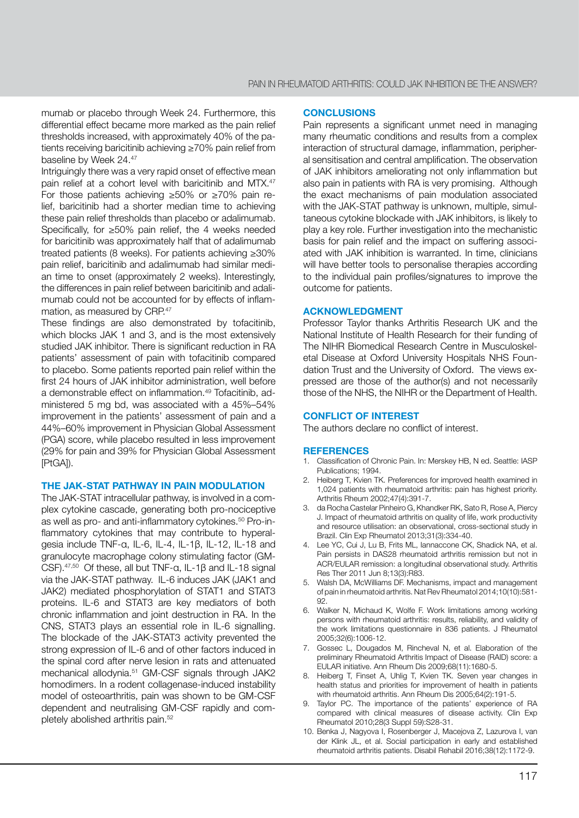mumab or placebo through Week 24. Furthermore, this differential effect became more marked as the pain relief thresholds increased, with approximately 40% of the patients receiving baricitinib achieving ≥70% pain relief from baseline by Week 24.47

Intriguingly there was a very rapid onset of effective mean pain relief at a cohort level with baricitinib and MTX.<sup>47</sup> For those patients achieving ≥50% or ≥70% pain relief, baricitinib had a shorter median time to achieving these pain relief thresholds than placebo or adalimumab. Specifically, for ≥50% pain relief, the 4 weeks needed for baricitinib was approximately half that of adalimumab treated patients (8 weeks). For patients achieving ≥30% pain relief, baricitinib and adalimumab had similar median time to onset (approximately 2 weeks). Interestingly, the differences in pain relief between baricitinib and adalimumab could not be accounted for by effects of inflammation, as measured by CRP.<sup>47</sup>

These findings are also demonstrated by tofacitinib, which blocks JAK 1 and 3, and is the most extensively studied JAK inhibitor. There is significant reduction in RA patients' assessment of pain with tofacitinib compared to placebo. Some patients reported pain relief within the first 24 hours of JAK inhibitor administration, well before a demonstrable effect on inflammation.49 Tofacitinib, administered 5 mg bd, was associated with a 45%–54% improvement in the patients' assessment of pain and a 44%–60% improvement in Physician Global Assessment (PGA) score, while placebo resulted in less improvement (29% for pain and 39% for Physician Global Assessment [PtGA]).

#### **THE JAK-STAT PATHWAY IN PAIN MODULATION**

The JAK-STAT intracellular pathway, is involved in a complex cytokine cascade, generating both pro-nociceptive as well as pro- and anti-inflammatory cytokines.<sup>50</sup> Pro-inflammatory cytokines that may contribute to hyperalgesia include TNF-α, IL-6, IL-4, IL-1β, IL-12, IL-18 and granulocyte macrophage colony stimulating factor (GM-CSF).47,50 Of these, all but TNF-α, IL-1β and IL-18 signal via the JAK-STAT pathway. IL-6 induces JAK (JAK1 and JAK2) mediated phosphorylation of STAT1 and STAT3 proteins. IL-6 and STAT3 are key mediators of both chronic inflammation and joint destruction in RA. In the CNS, STAT3 plays an essential role in IL-6 signalling. The blockade of the JAK-STAT3 activity prevented the strong expression of IL-6 and of other factors induced in the spinal cord after nerve lesion in rats and attenuated mechanical allodynia.<sup>51</sup> GM-CSF signals through JAK2 homodimers. In a rodent collagenase-induced instability model of osteoarthritis, pain was shown to be GM-CSF dependent and neutralising GM-CSF rapidly and completely abolished arthritis pain.52

#### **CONCLUSIONS**

Pain represents a significant unmet need in managing many rheumatic conditions and results from a complex interaction of structural damage, inflammation, peripheral sensitisation and central amplification. The observation of JAK inhibitors ameliorating not only inflammation but also pain in patients with RA is very promising. Although the exact mechanisms of pain modulation associated with the JAK-STAT pathway is unknown, multiple, simultaneous cytokine blockade with JAK inhibitors, is likely to play a key role. Further investigation into the mechanistic basis for pain relief and the impact on suffering associated with JAK inhibition is warranted. In time, clinicians will have better tools to personalise therapies according to the individual pain profiles/signatures to improve the outcome for patients.

#### **ACKNOWLEDGMENT**

Professor Taylor thanks Arthritis Research UK and the National Institute of Health Research for their funding of The NIHR Biomedical Research Centre in Musculoskeletal Disease at Oxford University Hospitals NHS Foundation Trust and the University of Oxford. The views expressed are those of the author(s) and not necessarily those of the NHS, the NIHR or the Department of Health.

#### **CONFLICT OF INTEREST**

The authors declare no conflict of interest.

#### **REFERENCES**

- 1. Classification of Chronic Pain. In: Merskey HB, N ed. Seattle: IASP Publications; 1994.
- 2. Heiberg T, Kvien TK. Preferences for improved health examined in 1,024 patients with rheumatoid arthritis: pain has highest priority. Arthritis Rheum 2002;47(4):391-7.
- 3. da Rocha Castelar Pinheiro G, Khandker RK, Sato R, Rose A, Piercy J. Impact of rheumatoid arthritis on quality of life, work productivity and resource utilisation: an observational, cross-sectional study in Brazil. Clin Exp Rheumatol 2013;31(3):334-40.
- 4. Lee YC, Cui J, Lu B, Frits ML, Iannaccone CK, Shadick NA, et al. Pain persists in DAS28 rheumatoid arthritis remission but not in ACR/EULAR remission: a longitudinal observational study. Arthritis Res Ther 2011 Jun 8;13(3):R83.
- 5. Walsh DA, McWilliams DF. Mechanisms, impact and management of pain in rheumatoid arthritis. Nat Rev Rheumatol 2014;10(10):581- 92.
- 6. Walker N, Michaud K, Wolfe F. Work limitations among working persons with rheumatoid arthritis: results, reliability, and validity of the work limitations questionnaire in 836 patients. J Rheumatol 2005;32(6):1006-12.
- 7. Gossec L, Dougados M, Rincheval N, et al. Elaboration of the preliminary Rheumatoid Arthritis Impact of Disease (RAID) score: a EULAR initiative. Ann Rheum Dis 2009;68(11):1680-5.
- 8. Heiberg T, Finset A, Uhlig T, Kvien TK. Seven year changes in health status and priorities for improvement of health in patients with rheumatoid arthritis. Ann Rheum Dis 2005;64(2):191-5.
- 9. Taylor PC. The importance of the patients' experience of RA compared with clinical measures of disease activity. Clin Exp Rheumatol 2010;28(3 Suppl 59):S28-31.
- 10. Benka J, Nagyova I, Rosenberger J, Macejova Z, Lazurova I, van der Klink JL, et al. Social participation in early and established rheumatoid arthritis patients. Disabil Rehabil 2016;38(12):1172-9.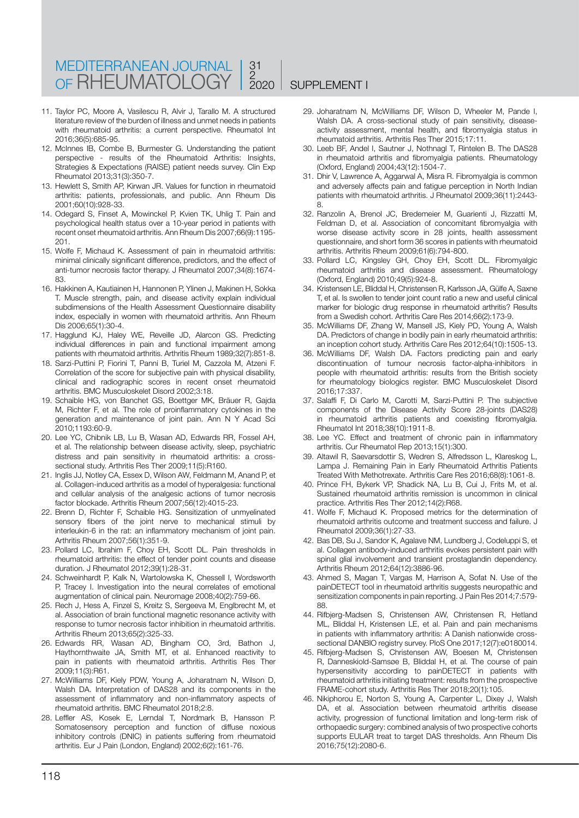#### MEDITERRANEAN JOURNAL OF RHEUMATOLOGY 31 2 2020 SUPPLEMENT I

- 11. Taylor PC, Moore A, Vasilescu R, Alvir J, Tarallo M. A structured literature review of the burden of illness and unmet needs in patients with rheumatoid arthritis: a current perspective. Rheumatol Int 2016;36(5):685-95.
- 12. McInnes IB, Combe B, Burmester G. Understanding the patient perspective - results of the Rheumatoid Arthritis: Insights, Strategies & Expectations (RAISE) patient needs survey. Clin Exp Rheumatol 2013;31(3):350-7.
- 13. Hewlett S, Smith AP, Kirwan JR. Values for function in rheumatoid arthritis: patients, professionals, and public. Ann Rheum Dis 2001;60(10):928-33.
- 14. Odegard S, Finset A, Mowinckel P, Kvien TK, Uhlig T. Pain and psychological health status over a 10-year period in patients with recent onset rheumatoid arthritis. Ann Rheum Dis 2007;66(9):1195- 201.
- 15. Wolfe F, Michaud K. Assessment of pain in rheumatoid arthritis: minimal clinically significant difference, predictors, and the effect of anti-tumor necrosis factor therapy. J Rheumatol 2007;34(8):1674- 83.
- 16. Hakkinen A, Kautiainen H, Hannonen P, Ylinen J, Makinen H, Sokka T. Muscle strength, pain, and disease activity explain individual subdimensions of the Health Assessment Questionnaire disability index, especially in women with rheumatoid arthritis. Ann Rheum Dis 2006;65(1):30-4.
- 17. Hagglund KJ, Haley WE, Reveille JD, Alarcon GS. Predicting individual differences in pain and functional impairment among patients with rheumatoid arthritis. Arthritis Rheum 1989;32(7):851-8.
- 18. Sarzi-Puttini P, Fiorini T, Panni B, Turiel M, Cazzola M, Atzeni F. Correlation of the score for subjective pain with physical disability, clinical and radiographic scores in recent onset rheumatoid arthritis. BMC Musculoskelet Disord 2002;3:18.
- 19. Schaible HG, von Banchet GS, Boettger MK, Bräuer R, Gajda M, Richter F, et al. The role of proinflammatory cytokines in the generation and maintenance of joint pain. Ann N Y Acad Sci 2010;1193:60-9.
- 20. Lee YC, Chibnik LB, Lu B, Wasan AD, Edwards RR, Fossel AH, et al. The relationship between disease activity, sleep, psychiatric distress and pain sensitivity in rheumatoid arthritis: a crosssectional study. Arthritis Res Ther 2009;11(5):R160.
- 21. Inglis JJ, Notley CA, Essex D, Wilson AW, Feldmann M, Anand P, et al. Collagen-induced arthritis as a model of hyperalgesia: functional and cellular analysis of the analgesic actions of tumor necrosis factor blockade. Arthritis Rheum 2007;56(12):4015-23.
- 22. Brenn D, Richter F, Schaible HG. Sensitization of unmyelinated sensory fibers of the joint nerve to mechanical stimuli by interleukin-6 in the rat: an inflammatory mechanism of joint pain. Arthritis Rheum 2007;56(1):351-9.
- 23. Pollard LC, Ibrahim F, Choy EH, Scott DL. Pain thresholds in rheumatoid arthritis: the effect of tender point counts and disease duration. J Rheumatol 2012;39(1):28-31.
- 24. Schweinhardt P, Kalk N, Wartolowska K, Chessell I, Wordsworth P, Tracey I. Investigation into the neural correlates of emotional augmentation of clinical pain. Neuromage 2008;40(2):759-66.
- 25. Rech J, Hess A, Finzel S, Kreitz S, Sergeeva M, Englbrecht M, et al. Association of brain functional magnetic resonance activity with response to tumor necrosis factor inhibition in rheumatoid arthritis. Arthritis Rheum 2013;65(2):325-33.
- 26. Edwards RR, Wasan AD, Bingham CO, 3rd, Bathon J, Haythornthwaite JA, Smith MT, et al. Enhanced reactivity to pain in patients with rheumatoid arthritis. Arthritis Res Ther 2009;11(3):R61.
- 27. McWilliams DF, Kiely PDW, Young A, Joharatnam N, Wilson D, Walsh DA. Interpretation of DAS28 and its components in the assessment of inflammatory and non-inflammatory aspects of rheumatoid arthritis. BMC Rheumatol 2018;2:8.
- 28. Leffler AS, Kosek E, Lerndal T, Nordmark B, Hansson P. Somatosensory perception and function of diffuse noxious inhibitory controls (DNIC) in patients suffering from rheumatoid arthritis. Eur J Pain (London, England) 2002;6(2):161-76.
- 29. Joharatnam N, McWilliams DF, Wilson D, Wheeler M, Pande I, Walsh DA. A cross-sectional study of pain sensitivity, diseaseactivity assessment, mental health, and fibromyalgia status in rheumatoid arthritis. Arthritis Res Ther 2015;17:11.
- 30. Leeb BF, Andel I, Sautner J, Nothnagl T, Rintelen B. The DAS28 in rheumatoid arthritis and fibromyalgia patients. Rheumatology (Oxford, England) 2004;43(12):1504-7.
- 31. Dhir V, Lawrence A, Aggarwal A, Misra R. Fibromyalgia is common and adversely affects pain and fatigue perception in North Indian patients with rheumatoid arthritis. J Rheumatol 2009;36(11):2443- 8.
- 32. Ranzolin A, Brenol JC, Bredemeier M, Guarienti J, Rizzatti M, Feldman D, et al. Association of concomitant fibromyalgia with worse disease activity score in 28 joints, health assessment questionnaire, and short form 36 scores in patients with rheumatoid arthritis. Arthritis Rheum 2009;61(6):794-800.
- 33. Pollard LC, Kingsley GH, Choy EH, Scott DL. Fibromyalgic rheumatoid arthritis and disease assessment. Rheumatology (Oxford, England) 2010;49(5):924-8.
- 34. Kristensen LE, Bliddal H, Christensen R, Karlsson JA, Gülfe A, Saxne T, et al. Is swollen to tender joint count ratio a new and useful clinical marker for biologic drug response in rheumatoid arthritis? Results from a Swedish cohort. Arthritis Care Res 2014;66(2):173-9.
- 35. McWilliams DF, Zhang W, Mansell JS, Kiely PD, Young A, Walsh DA. Predictors of change in bodily pain in early rheumatoid arthritis: an inception cohort study. Arthritis Care Res 2012;64(10):1505-13.
- 36. McWilliams DF, Walsh DA. Factors predicting pain and early discontinuation of tumour necrosis factor-alpha-inhibitors in people with rheumatoid arthritis: results from the British society for rheumatology biologics register. BMC Musculoskelet Disord 2016;17:337.
- 37. Salaffi F, Di Carlo M, Carotti M, Sarzi-Puttini P. The subjective components of the Disease Activity Score 28-joints (DAS28) in rheumatoid arthritis patients and coexisting fibromyalgia. Rheumatol Int 2018;38(10):1911-8.
- 38. Lee YC. Effect and treatment of chronic pain in inflammatory arthritis. Cur Rheumatol Rep 2013;15(1):300.
- 39. Altawil R, Saevarsdottir S, Wedren S, Alfredsson L, Klareskog L, Lampa J. Remaining Pain in Early Rheumatoid Arthritis Patients Treated With Methotrexate. Arthritis Care Res 2016;68(8):1061-8.
- 40. Prince FH, Bykerk VP, Shadick NA, Lu B, Cui J, Frits M, et al. Sustained rheumatoid arthritis remission is uncommon in clinical practice. Arthritis Res Ther 2012;14(2):R68.
- 41. Wolfe F, Michaud K. Proposed metrics for the determination of rheumatoid arthritis outcome and treatment success and failure. J Rheumatol 2009;36(1):27-33.
- 42. Bas DB, Su J, Sandor K, Agalave NM, Lundberg J, Codeluppi S, et al. Collagen antibody-induced arthritis evokes persistent pain with spinal glial involvement and transient prostaglandin dependency. Arthritis Rheum 2012;64(12):3886-96.
- 43. Ahmed S, Magan T, Vargas M, Harrison A, Sofat N. Use of the painDETECT tool in rheumatoid arthritis suggests neuropathic and sensitization components in pain reporting. J Pain Res 2014;7:579- 88.
- 44. Rifbjerg-Madsen S, Christensen AW, Christensen R, Hetland ML, Bliddal H, Kristensen LE, et al. Pain and pain mechanisms in patients with inflammatory arthritis: A Danish nationwide crosssectional DANBIO registry survey. PloS One 2017;12(7):e0180014.
- 45. Rifbjerg-Madsen S, Christensen AW, Boesen M, Christensen R, Danneskiold-Samsøe B, Bliddal H, et al. The course of pain hypersensitivity according to painDETECT in patients with rheumatoid arthritis initiating treatment: results from the prospective FRAME-cohort study. Arthritis Res Ther 2018;20(1):105.
- 46. Nikiphorou E, Norton S, Young A, Carpenter L, Dixey J, Walsh DA, et al. Association between rheumatoid arthritis disease activity, progression of functional limitation and long-term risk of orthopaedic surgery: combined analysis of two prospective cohorts supports EULAR treat to target DAS thresholds. Ann Rheum Dis 2016;75(12):2080-6.